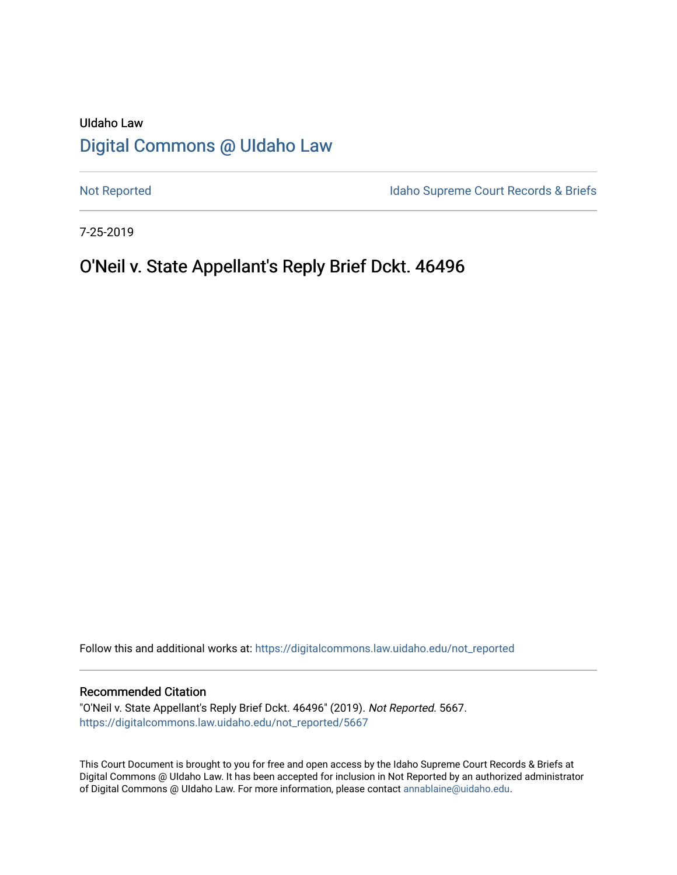# UIdaho Law [Digital Commons @ UIdaho Law](https://digitalcommons.law.uidaho.edu/)

[Not Reported](https://digitalcommons.law.uidaho.edu/not_reported) **Idaho Supreme Court Records & Briefs** 

7-25-2019

# O'Neil v. State Appellant's Reply Brief Dckt. 46496

Follow this and additional works at: [https://digitalcommons.law.uidaho.edu/not\\_reported](https://digitalcommons.law.uidaho.edu/not_reported?utm_source=digitalcommons.law.uidaho.edu%2Fnot_reported%2F5667&utm_medium=PDF&utm_campaign=PDFCoverPages) 

#### Recommended Citation

"O'Neil v. State Appellant's Reply Brief Dckt. 46496" (2019). Not Reported. 5667. [https://digitalcommons.law.uidaho.edu/not\\_reported/5667](https://digitalcommons.law.uidaho.edu/not_reported/5667?utm_source=digitalcommons.law.uidaho.edu%2Fnot_reported%2F5667&utm_medium=PDF&utm_campaign=PDFCoverPages)

This Court Document is brought to you for free and open access by the Idaho Supreme Court Records & Briefs at Digital Commons @ UIdaho Law. It has been accepted for inclusion in Not Reported by an authorized administrator of Digital Commons @ UIdaho Law. For more information, please contact [annablaine@uidaho.edu](mailto:annablaine@uidaho.edu).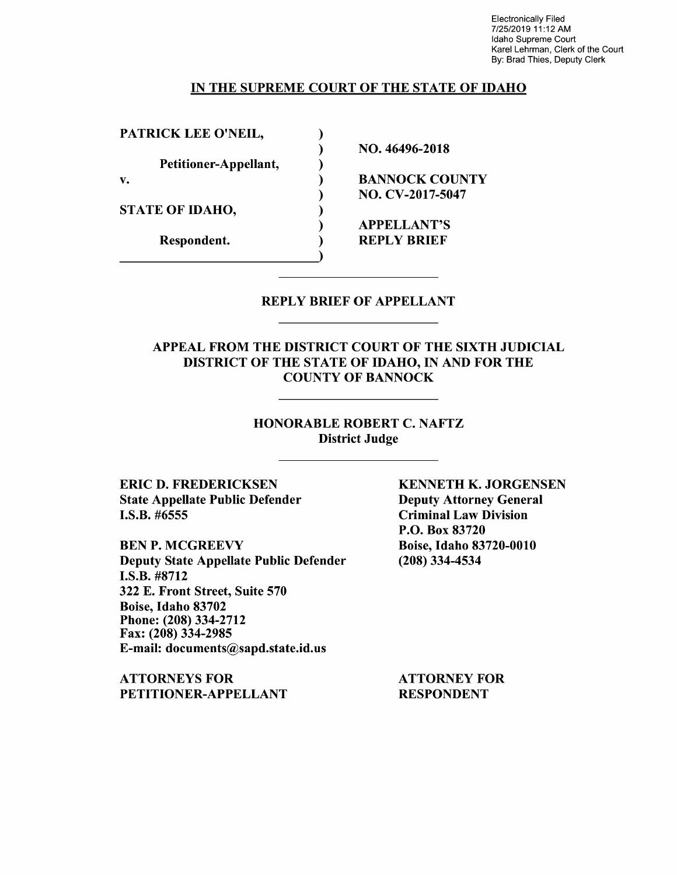Electronically Filed 7/25/2019 11 :12 AM Idaho Supreme Court Karel Lehrman, Clerk of the Court By: Brad Thies, Deputy Clerk

#### IN THE SUPREME COURT OF THE STATE OF IDAHO

PATRICK LEE O'NEIL,

Petitioner-Appellant,

STATE OF IDAHO,

) NO. 46496-2018

v. BANNOCK COUNTY ) NO. CV-2017-5047

> ) APPELLANT'S Respondent. (a) REPLY BRIEF

### REPLY BRIEF OF APPELLANT

APPEAL FROM THE DISTRICT COURT OF THE SIXTH JUDICIAL DISTRICT OF THE STATE OF IDAHO, IN AND FOR THE COUNTY OF BANNOCK

### HONORABLE ROBERT C. NAFTZ District Judge

ERIC D. FREDERICKSEN State Appellate Public Defender I.S.B. #6555

BEN P. MCGREEVY Deputy State Appellate Public Defender I.S.B. #8712 322 E. Front Street, Suite 570 Boise, Idaho 83702 Phone: (208) 334-2712 Fax: (208) 334-2985 E-mail: documents@sapd.state.id.us

ATTORNEYS FOR PETITIONER-APPELLANT KENNETH K. JORGENSEN Deputy Attorney General Criminal Law Division P.O. Box 83720 Boise, Idaho 83720-0010 (208) 334-4534

ATTORNEY FOR RESPONDENT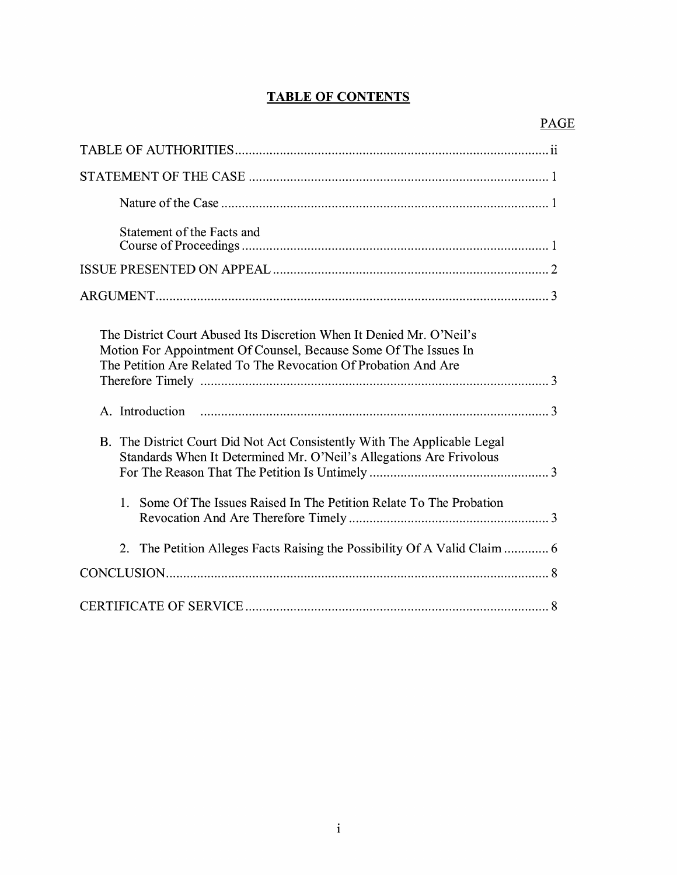# **TABLE OF CONTENTS**

| Statement of the Facts and                                                                                                                                                                                  |
|-------------------------------------------------------------------------------------------------------------------------------------------------------------------------------------------------------------|
|                                                                                                                                                                                                             |
|                                                                                                                                                                                                             |
| The District Court Abused Its Discretion When It Denied Mr. O'Neil's<br>Motion For Appointment Of Counsel, Because Some Of The Issues In<br>The Petition Are Related To The Revocation Of Probation And Are |
|                                                                                                                                                                                                             |
| B. The District Court Did Not Act Consistently With The Applicable Legal<br>Standards When It Determined Mr. O'Neil's Allegations Are Frivolous                                                             |
| Some Of The Issues Raised In The Petition Relate To The Probation<br>$1_{-}$                                                                                                                                |
| 2. The Petition Alleges Facts Raising the Possibility Of A Valid Claim  6                                                                                                                                   |
|                                                                                                                                                                                                             |
|                                                                                                                                                                                                             |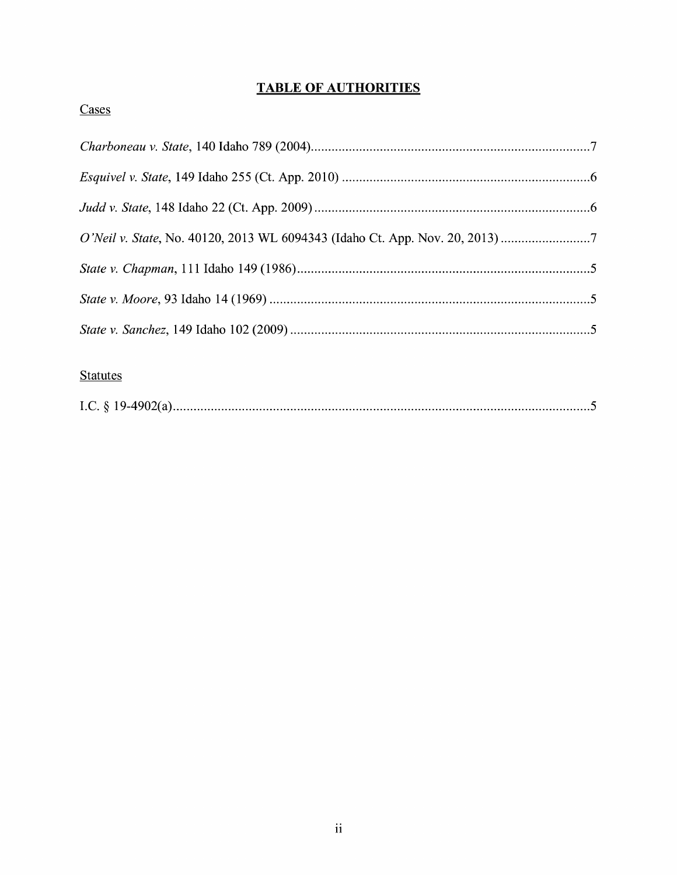# **TABLE OF AUTHORITIES**

# Cases

| O'Neil v. State, No. 40120, 2013 WL 6094343 (Idaho Ct. App. Nov. 20, 2013) |  |
|----------------------------------------------------------------------------|--|
|                                                                            |  |
|                                                                            |  |
|                                                                            |  |

## **Statutes**

|--|--|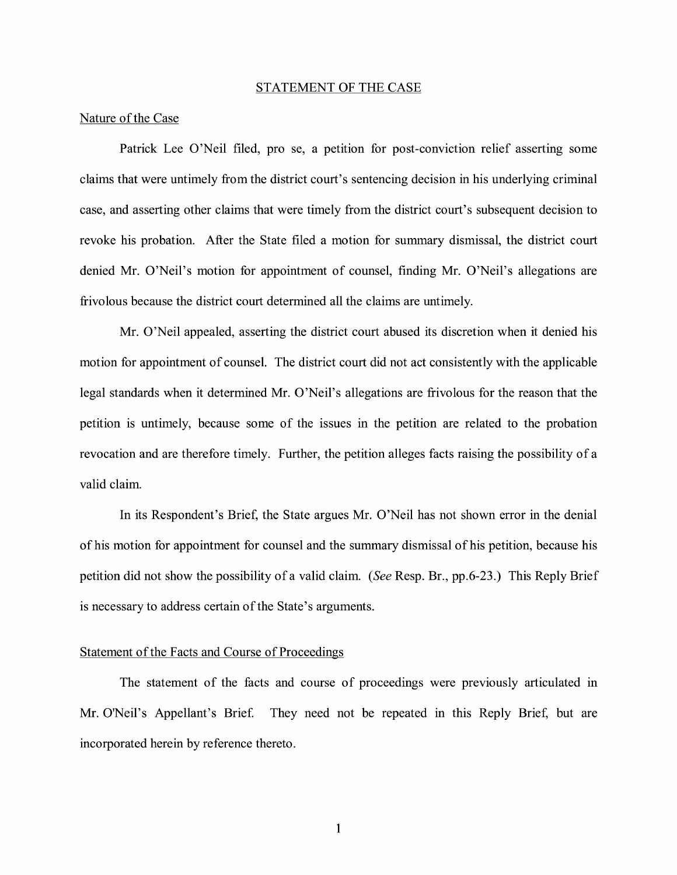#### STATEMENT OF THE CASE

#### Nature of the Case

Patrick Lee O'Neil filed, pro se, a petition for post-conviction relief asserting some claims that were untimely from the district court's sentencing decision in his underlying criminal case, and asserting other claims that were timely from the district court's subsequent decision to revoke his probation. After the State filed a motion for summary dismissal, the district court denied Mr. O'Neil's motion for appointment of counsel, finding Mr. O'Neil's allegations are frivolous because the district court determined all the claims are untimely.

Mr. O'Neil appealed, asserting the district court abused its discretion when it denied his motion for appointment of counsel. The district court did not act consistently with the applicable legal standards when it determined Mr. O'Neil's allegations are frivolous for the reason that the petition is untimely, because some of the issues in the petition are related to the probation revocation and are therefore timely. Further, the petition alleges facts raising the possibility of a valid claim.

In its Respondent's Brief, the State argues Mr. O'Neil has not shown error in the denial of his motion for appointment for counsel and the summary dismissal of his petition, because his petition did not show the possibility of a valid claim. *(See* Resp. Br., pp.6-23.) This Reply Brief is necessary to address certain of the State's arguments.

#### Statement of the Facts and Course of Proceedings

The statement of the facts and course of proceedings were previously articulated in Mr. O'Neil's Appellant's Brief. They need not be repeated in this Reply Brief, but are incorporated herein by reference thereto.

1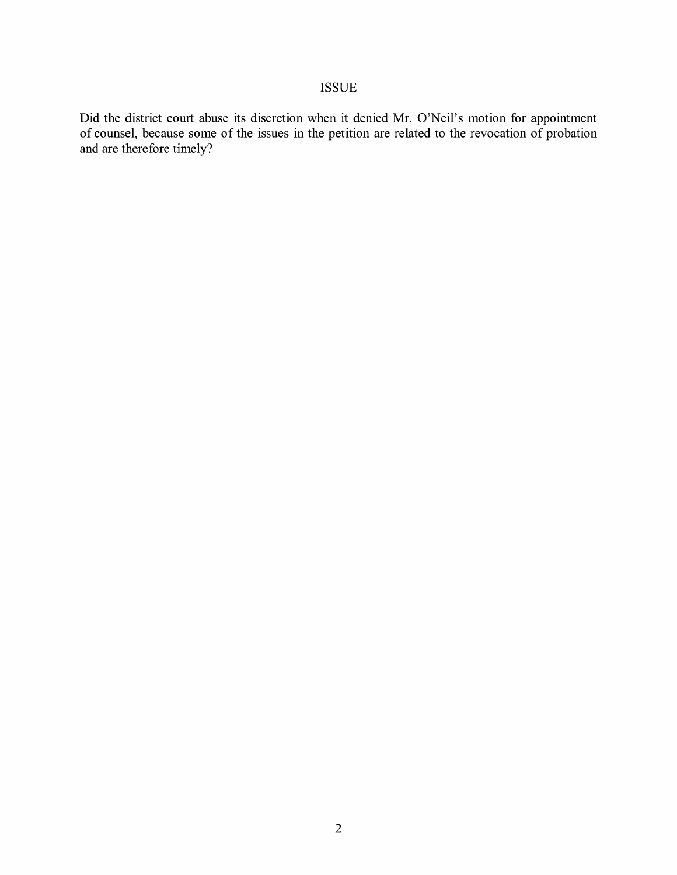## **ISSUE**

Did the district court abuse its discretion when it denied Mr. O'Neil's motion for appointment of counsel, because some of the issues in the petition are related to the revocation of probation and are therefore timely?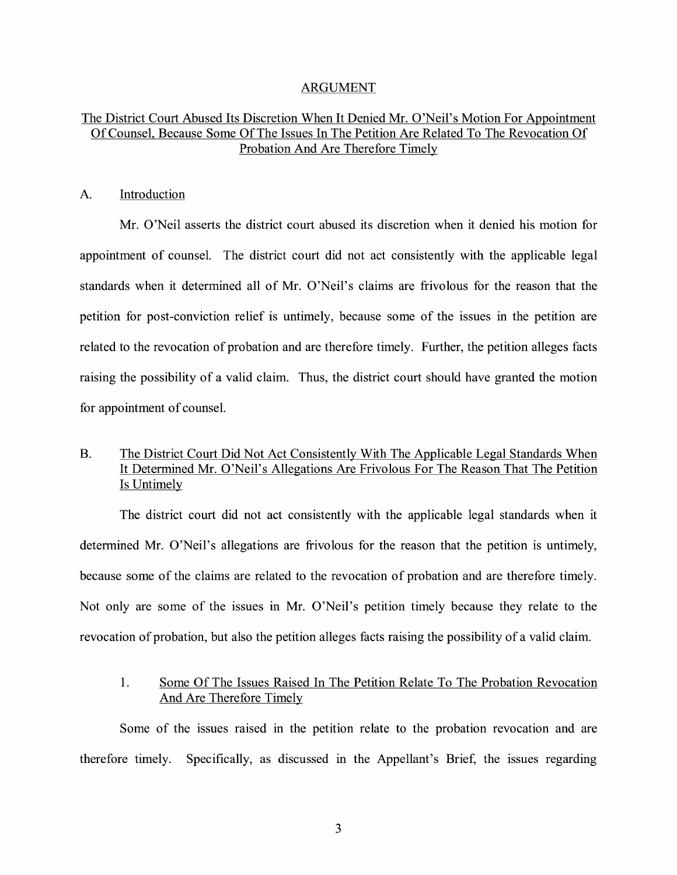#### ARGUMENT

### The District Court Abused Its Discretion When It Denied Mr. O'Neil's Motion For Appointment Of Counsel, Because Some Of The Issues In The Petition Are Related To The Revocation Of Probation And Are Therefore Timely

#### A. Introduction

Mr. O'Neil asserts the district court abused its discretion when it denied his motion for appointment of counsel. The district court did not act consistently with the applicable legal standards when it determined all of Mr. O'Neil's claims are frivolous for the reason that the petition for post-conviction relief is untimely, because some of the issues in the petition are related to the revocation of probation and are therefore timely. Further, the petition alleges facts raising the possibility of a valid claim. Thus, the district court should have granted the motion for appointment of counsel.

### B. The District Court Did Not Act Consistently With The Applicable Legal Standards When It Determined Mr. O'Neil's Allegations Are Frivolous For The Reason That The Petition Is Untimely

The district court did not act consistently with the applicable legal standards when it determined Mr. O'Neil's allegations are frivolous for the reason that the petition is untimely, because some of the claims are related to the revocation of probation and are therefore timely. Not only are some of the issues in Mr. O'Neil's petition timely because they relate to the revocation of probation, but also the petition alleges facts raising the possibility of a valid claim.

### 1. Some Of The Issues Raised In The Petition Relate To The Probation Revocation And Are Therefore Timely

Some of the issues raised in the petition relate to the probation revocation and are therefore timely. Specifically, as discussed in the Appellant's Brief, the issues regarding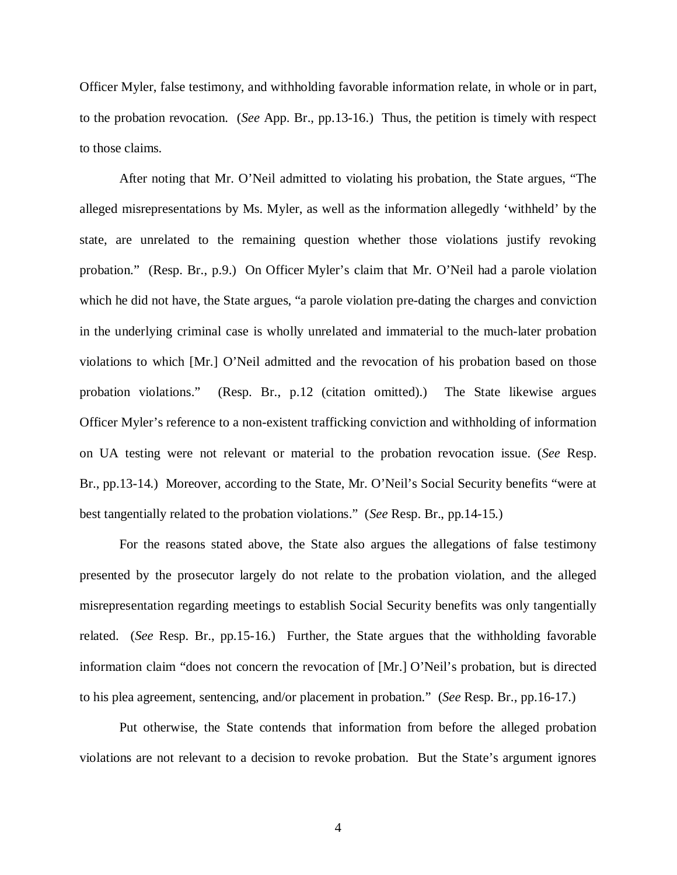Officer Myler, false testimony, and withholding favorable information relate, in whole or in part, to the probation revocation. (*See* App. Br., pp.13-16.) Thus, the petition is timely with respect to those claims.

After noting that Mr. O'Neil admitted to violating his probation, the State argues, "The alleged misrepresentations by Ms. Myler, as well as the information allegedly 'withheld' by the state, are unrelated to the remaining question whether those violations justify revoking probation." (Resp. Br., p.9.) On Officer Myler's claim that Mr. O'Neil had a parole violation which he did not have, the State argues, "a parole violation pre-dating the charges and conviction in the underlying criminal case is wholly unrelated and immaterial to the much-later probation violations to which [Mr.] O'Neil admitted and the revocation of his probation based on those probation violations." (Resp. Br., p.12 (citation omitted).) The State likewise argues Officer Myler's reference to a non-existent trafficking conviction and withholding of information on UA testing were not relevant or material to the probation revocation issue. (*See* Resp. Br., pp.13-14.) Moreover, according to the State, Mr. O'Neil's Social Security benefits "were at best tangentially related to the probation violations." (*See* Resp. Br., pp.14-15.)

For the reasons stated above, the State also argues the allegations of false testimony presented by the prosecutor largely do not relate to the probation violation, and the alleged misrepresentation regarding meetings to establish Social Security benefits was only tangentially related. (*See* Resp. Br., pp.15-16.) Further, the State argues that the withholding favorable information claim "does not concern the revocation of [Mr.] O'Neil's probation, but is directed to his plea agreement, sentencing, and/or placement in probation." (*See* Resp. Br., pp.16-17.)

Put otherwise, the State contends that information from before the alleged probation violations are not relevant to a decision to revoke probation. But the State's argument ignores

4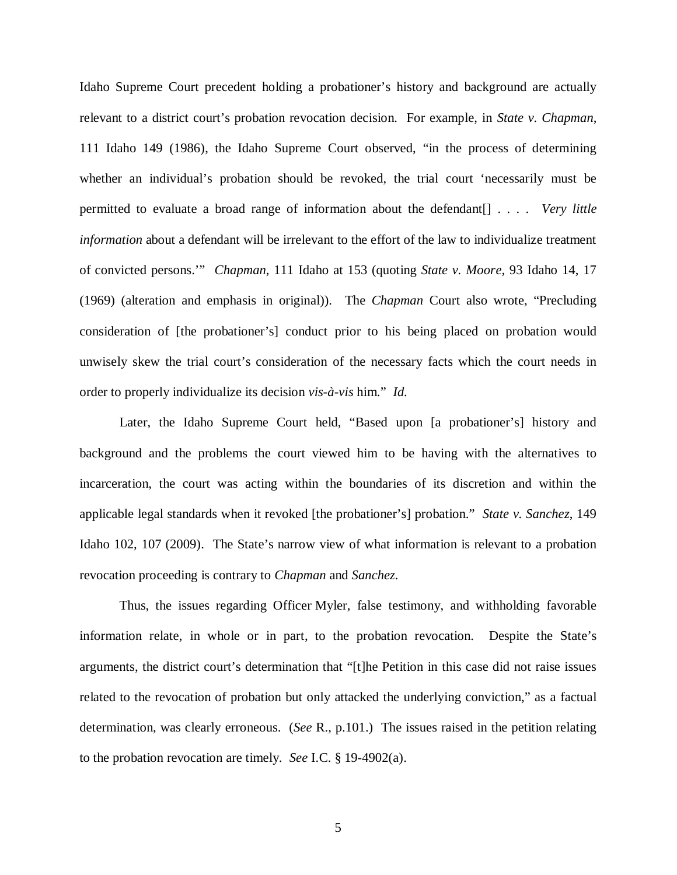Idaho Supreme Court precedent holding a probationer's history and background are actually relevant to a district court's probation revocation decision. For example, in *State v. Chapman*, 111 Idaho 149 (1986), the Idaho Supreme Court observed, "in the process of determining whether an individual's probation should be revoked, the trial court 'necessarily must be permitted to evaluate a broad range of information about the defendant[] . . . . *Very little information* about a defendant will be irrelevant to the effort of the law to individualize treatment of convicted persons.'" *Chapman*, 111 Idaho at 153 (quoting *State v. Moore*, 93 Idaho 14, 17 (1969) (alteration and emphasis in original)). The *Chapman* Court also wrote, "Precluding consideration of [the probationer's] conduct prior to his being placed on probation would unwisely skew the trial court's consideration of the necessary facts which the court needs in order to properly individualize its decision *vis-à-vis* him." *Id.*

Later, the Idaho Supreme Court held, "Based upon [a probationer's] history and background and the problems the court viewed him to be having with the alternatives to incarceration, the court was acting within the boundaries of its discretion and within the applicable legal standards when it revoked [the probationer's] probation." *State v. Sanchez*, 149 Idaho 102, 107 (2009). The State's narrow view of what information is relevant to a probation revocation proceeding is contrary to *Chapman* and *Sanchez*.

Thus, the issues regarding Officer Myler, false testimony, and withholding favorable information relate, in whole or in part, to the probation revocation. Despite the State's arguments, the district court's determination that "[t]he Petition in this case did not raise issues related to the revocation of probation but only attacked the underlying conviction," as a factual determination, was clearly erroneous. (*See* R., p.101.) The issues raised in the petition relating to the probation revocation are timely. *See* I.C. § 19-4902(a).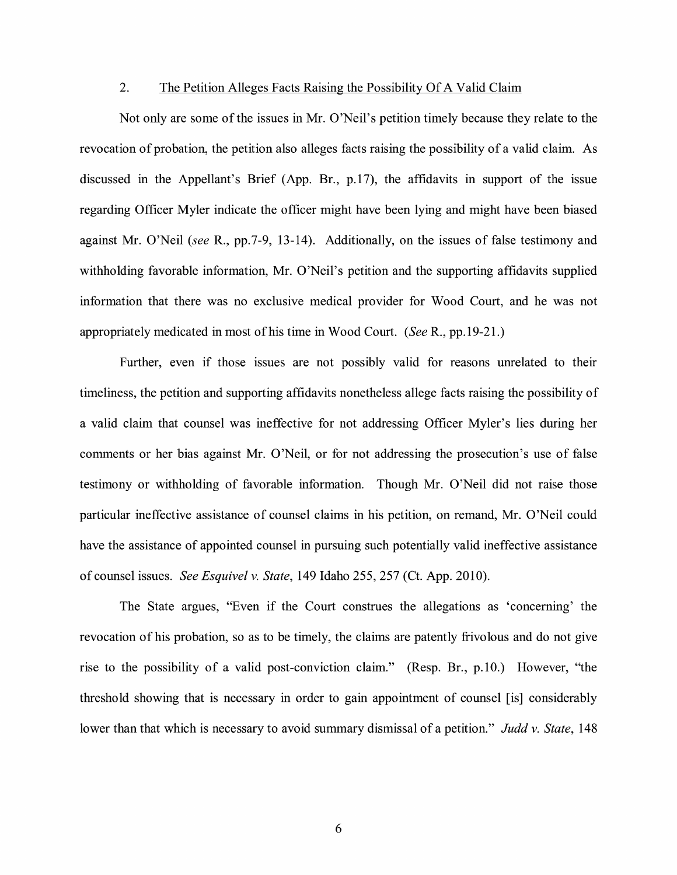#### 2. The Petition Alleges Facts Raising the Possibility Of A Valid Claim

Not only are some of the issues in Mr. O'Neil's petition timely because they relate to the revocation of probation, the petition also alleges facts raising the possibility of a valid claim. As discussed in the Appellant's Brief (App. Br., p.17), the affidavits in support of the issue regarding Officer Myler indicate the officer might have been lying and might have been biased against Mr. O'Neil *(see* R., pp.7-9, 13-14). Additionally, on the issues of false testimony and withholding favorable information, Mr. O'Neil's petition and the supporting affidavits supplied information that there was no exclusive medical provider for Wood Court, and he was not appropriately medicated in most of his time in Wood Court. *(See* R., pp.19-21.)

Further, even if those issues are not possibly valid for reasons unrelated to their timeliness, the petition and supporting affidavits nonetheless allege facts raising the possibility of a valid claim that counsel was ineffective for not addressing Officer Myler's lies during her comments or her bias against Mr. O'Neil, or for not addressing the prosecution's use of false testimony or withholding of favorable information. Though Mr. O'Neil did not raise those particular ineffective assistance of counsel claims in his petition, on remand, Mr. O'Neil could have the assistance of appointed counsel in pursuing such potentially valid ineffective assistance of counsel issues. *See Esquivel v. State,* 149 Idaho 255,257 (Ct. App. 2010).

The State argues, "Even if the Court construes the allegations as 'concerning' the revocation of his probation, so as to be timely, the claims are patently frivolous and do not give rise to the possibility of a valid post-conviction claim." (Resp. Br., p.10.) However, "the threshold showing that is necessary in order to gain appointment of counsel [is] considerably lower than that which is necessary to avoid summary dismissal of a petition." *Judd v. State,* 148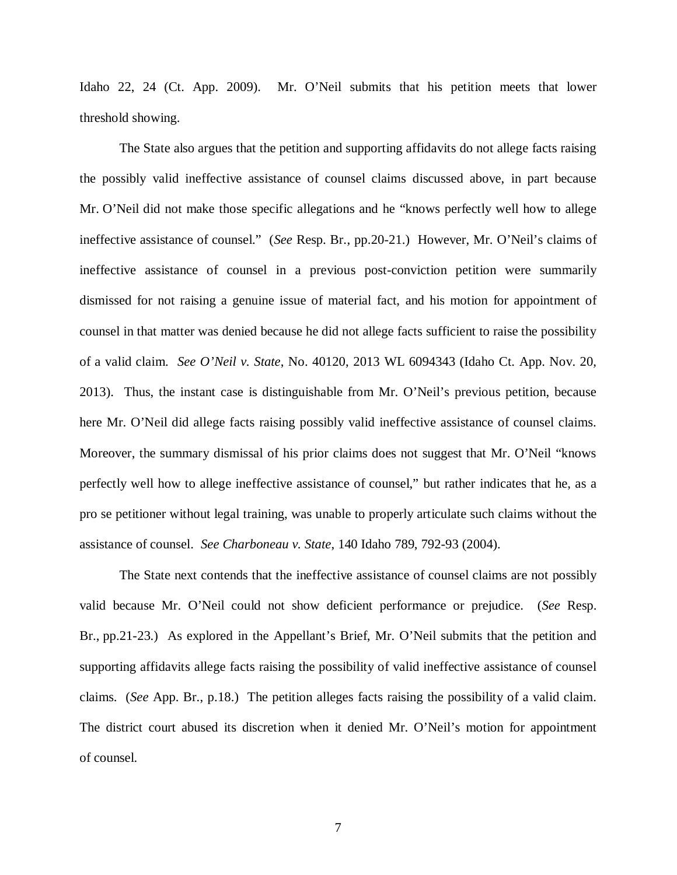Idaho 22, 24 (Ct. App. 2009). Mr. O'Neil submits that his petition meets that lower threshold showing.

The State also argues that the petition and supporting affidavits do not allege facts raising the possibly valid ineffective assistance of counsel claims discussed above, in part because Mr. O'Neil did not make those specific allegations and he "knows perfectly well how to allege ineffective assistance of counsel." (*See* Resp. Br., pp.20-21.) However, Mr. O'Neil's claims of ineffective assistance of counsel in a previous post-conviction petition were summarily dismissed for not raising a genuine issue of material fact, and his motion for appointment of counsel in that matter was denied because he did not allege facts sufficient to raise the possibility of a valid claim. *See O'Neil v. State*, No. 40120, 2013 WL 6094343 (Idaho Ct. App. Nov. 20, 2013). Thus, the instant case is distinguishable from Mr. O'Neil's previous petition, because here Mr. O'Neil did allege facts raising possibly valid ineffective assistance of counsel claims. Moreover, the summary dismissal of his prior claims does not suggest that Mr. O'Neil "knows perfectly well how to allege ineffective assistance of counsel," but rather indicates that he, as a pro se petitioner without legal training, was unable to properly articulate such claims without the assistance of counsel. *See Charboneau v. State*, 140 Idaho 789, 792-93 (2004).

The State next contends that the ineffective assistance of counsel claims are not possibly valid because Mr. O'Neil could not show deficient performance or prejudice. (*See* Resp. Br., pp.21-23.) As explored in the Appellant's Brief, Mr. O'Neil submits that the petition and supporting affidavits allege facts raising the possibility of valid ineffective assistance of counsel claims. (*See* App. Br., p.18.) The petition alleges facts raising the possibility of a valid claim. The district court abused its discretion when it denied Mr. O'Neil's motion for appointment of counsel.